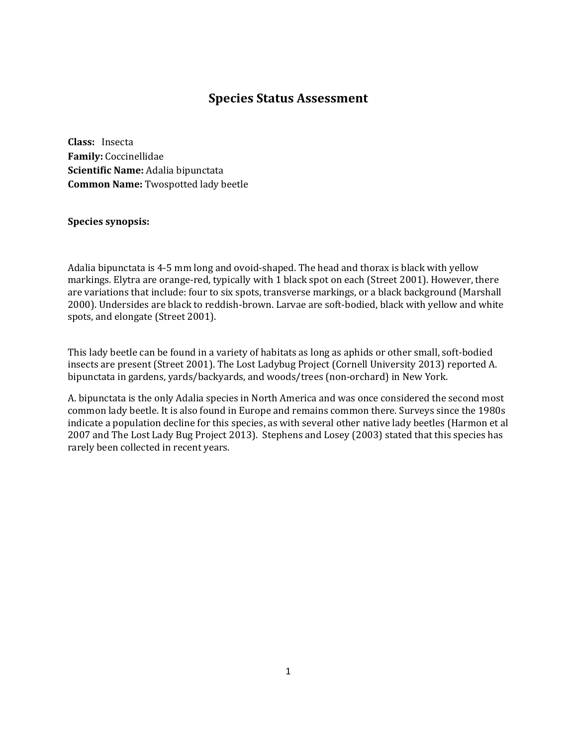# **Species Status Assessment**

**Class:** Insecta **Family:** Coccinellidae **Scientific Name:** Adalia bipunctata **Common Name:** Twospotted lady beetle

### **Species synopsis:**

Adalia bipunctata is 4-5 mm long and ovoid-shaped. The head and thorax is black with yellow markings. Elytra are orange-red, typically with 1 black spot on each (Street 2001). However, there are variations that include: four to six spots, transverse markings, or a black background (Marshall 2000). Undersides are black to reddish-brown. Larvae are soft-bodied, black with yellow and white spots, and elongate (Street 2001).

This lady beetle can be found in a variety of habitats as long as aphids or other small, soft-bodied insects are present (Street 2001). The Lost Ladybug Project (Cornell University 2013) reported A. bipunctata in gardens, yards/backyards, and woods/trees (non-orchard) in New York.

A. bipunctata is the only Adalia species in North America and was once considered the second most common lady beetle. It is also found in Europe and remains common there. Surveys since the 1980s indicate a population decline for this species, as with several other native lady beetles (Harmon et al 2007 and The Lost Lady Bug Project 2013). Stephens and Losey (2003) stated that this species has rarely been collected in recent years.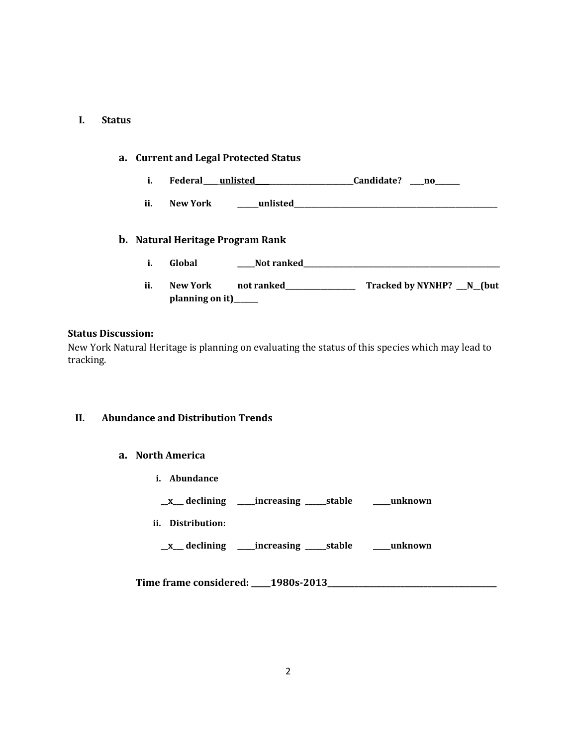#### **I. Status**

# **a. Current and Legal Protected Status**

- **i. Federal\_\_\_\_ unlisted\_\_\_\_\_\_\_\_\_\_\_\_\_\_\_\_\_\_\_\_\_\_\_\_\_\_\_\_Candidate? \_\_\_\_no\_\_\_\_\_\_\_**
- **ii. New York \_\_\_\_\_\_unlisted\_\_\_\_\_\_\_\_\_\_\_\_\_\_\_\_\_\_\_\_\_\_\_\_\_\_\_\_\_\_\_\_\_\_\_\_\_\_\_\_\_\_\_\_\_\_\_\_\_\_\_\_\_\_\_\_\_\_**

### **b. Natural Heritage Program Rank**

- **i. Global \_\_\_\_\_Not ranked\_\_\_\_\_\_\_\_\_\_\_\_\_\_\_\_\_\_\_\_\_\_\_\_\_\_\_\_\_\_\_\_\_\_\_\_\_\_\_\_\_\_\_\_\_\_\_\_\_\_\_\_\_\_\_\_**
- **ii. New York not ranked\_\_\_\_\_\_\_\_\_\_\_\_\_\_\_\_\_\_\_\_ Tracked by NYNHP? \_\_\_N\_\_(but planning on it)\_\_\_\_\_\_\_**

#### **Status Discussion:**

New York Natural Heritage is planning on evaluating the status of this species which may lead to tracking.

### **II. Abundance and Distribution Trends**

- **a. North America**
	- **i. Abundance**
	- **\_\_x\_\_\_ declining \_\_\_\_\_increasing \_\_\_\_\_\_stable \_\_\_\_\_unknown**
	- **ii. Distribution:**
		- **\_\_x\_\_\_ declining \_\_\_\_\_increasing \_\_\_\_\_\_stable \_\_\_\_\_unknown**

**Time frame considered: \_\_\_\_\_1980s-2013\_\_\_\_\_\_\_\_\_\_\_\_\_\_\_\_\_\_\_\_\_\_\_\_\_\_\_\_\_\_\_\_\_\_\_\_\_\_\_\_\_\_\_\_**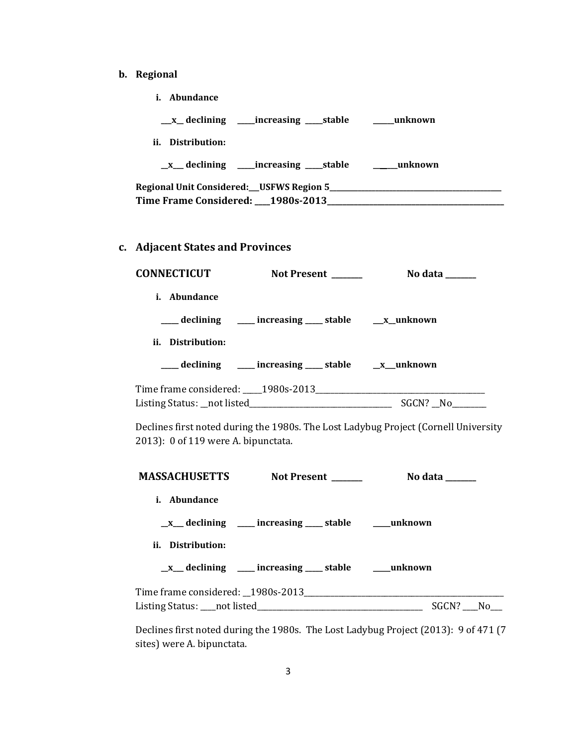- **b. Regional**
	- **i. Abundance**

**\_\_\_x\_\_ declining \_\_\_\_\_increasing \_\_\_\_\_stable \_\_\_\_\_\_unknown**

**ii. Distribution:**

**\_\_x\_\_\_ declining \_\_\_\_\_increasing \_\_\_\_\_stable \_\_\_\_\_\_\_unknown**

| <b>Regional Unit Considered: __ USFWS Region 5_</b> |  |
|-----------------------------------------------------|--|
| Time Frame Considered: 1980s-2013                   |  |

## **c. Adjacent States and Provinces**

| <b>CONNECTICUT</b>  | Not Present ______                                           | No data ______ |
|---------------------|--------------------------------------------------------------|----------------|
| <i>i.</i> Abundance |                                                              |                |
|                     | ____ declining ____ increasing ____ stable ___ __ x__unknown |                |
| ii. Distribution:   |                                                              |                |
|                     | ___ declining ___ increasing ___ stable __ x_unknown         |                |
|                     |                                                              |                |
|                     |                                                              | SGCN? No       |

Declines first noted during the 1980s. The Lost Ladybug Project (Cornell University 2013): 0 of 119 were A. bipunctata.

| <b>MASSACHUSETTS</b> | <b>Not Present</b>                                               | No data  |  |
|----------------------|------------------------------------------------------------------|----------|--|
| <i>i.</i> Abundance  |                                                                  |          |  |
|                      | $\_\_x$ declining $\_\_$ increasing $\_\_$ stable $\_\_$ unknown |          |  |
| ii. Distribution:    |                                                                  |          |  |
|                      | $\_\_x$ declining $\_\_$ increasing $\_\_$ stable $\_\_$ unknown |          |  |
|                      |                                                                  |          |  |
|                      |                                                                  | SGCN? No |  |

Declines first noted during the 1980s. The Lost Ladybug Project (2013): 9 of 471 (7 sites) were A. bipunctata.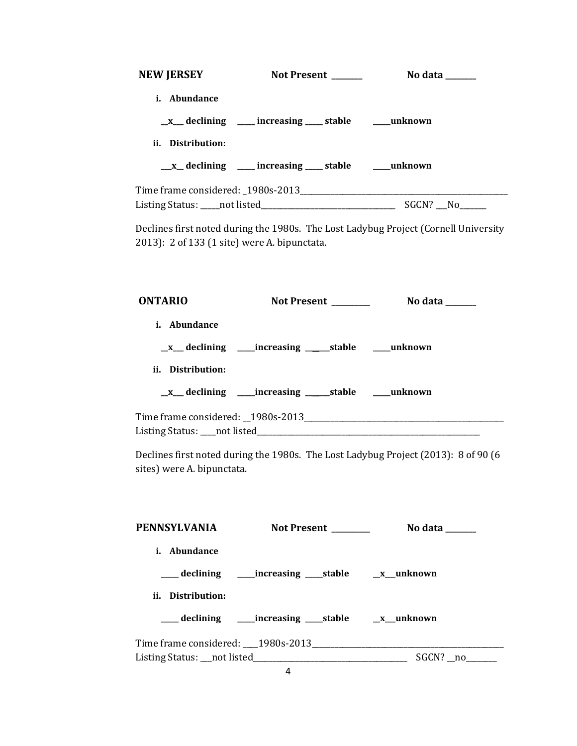| <b>NEW JERSEY</b>   | <b>Not Present</b>                                              | No data ______ |  |
|---------------------|-----------------------------------------------------------------|----------------|--|
| <i>i.</i> Abundance |                                                                 |                |  |
|                     | $\mathbb{R}$ declining ____ increasing ____ stable ____ unknown |                |  |
| ii. Distribution:   |                                                                 |                |  |
|                     | _x_ declining ___ increasing ___ stable ___ unknown             |                |  |
|                     |                                                                 |                |  |
|                     |                                                                 | SGCN? No       |  |

Declines first noted during the 1980s. The Lost Ladybug Project (Cornell University 2013): 2 of 133 (1 site) were A. bipunctata.

| <b>ONTARIO</b>      | Not Present ________ | No data $\_\_\_\_\_\_\_\_\_\_\_\_\$ |
|---------------------|----------------------|-------------------------------------|
| <i>i.</i> Abundance |                      |                                     |
|                     |                      |                                     |
| ii. Distribution:   |                      |                                     |
|                     |                      |                                     |
|                     |                      |                                     |
|                     |                      |                                     |

Declines first noted during the 1980s. The Lost Ladybug Project (2013): 8 of 90 (6 sites) were A. bipunctata.

| PENNSYLVANIA      | <b>Not Present</b>                                                                | No data  |
|-------------------|-----------------------------------------------------------------------------------|----------|
| i. Abundance      |                                                                                   |          |
|                   | ____ declining _______ increasing ______stable __________________________________ |          |
| ii. Distribution: |                                                                                   |          |
|                   |                                                                                   |          |
|                   |                                                                                   |          |
|                   |                                                                                   | SGCN? no |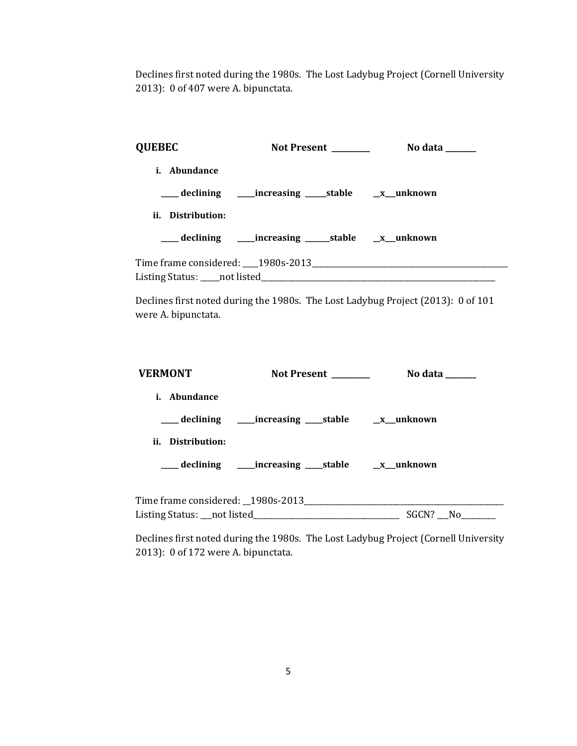Declines first noted during the 1980s. The Lost Ladybug Project (Cornell University 2013): 0 of 407 were A. bipunctata.

| <b>QUEBEC</b>       | Not Present _______                                              | No data $\qquad$ |
|---------------------|------------------------------------------------------------------|------------------|
| <i>i.</i> Abundance |                                                                  |                  |
|                     | ___ declining _____ increasing ______ stable ______ x___ unknown |                  |
| ii. Distribution:   |                                                                  |                  |
|                     |                                                                  |                  |
|                     |                                                                  |                  |
|                     |                                                                  |                  |

Declines first noted during the 1980s. The Lost Ladybug Project (2013): 0 of 101 were A. bipunctata.

| <b>VERMONT</b>      | Not Present | No data $\_\_$ |  |
|---------------------|-------------|----------------|--|
| <i>i.</i> Abundance |             |                |  |
|                     |             |                |  |
| ii. Distribution:   |             |                |  |
|                     |             |                |  |
|                     |             |                |  |
|                     |             | SGCN? No       |  |

Declines first noted during the 1980s. The Lost Ladybug Project (Cornell University 2013): 0 of 172 were A. bipunctata.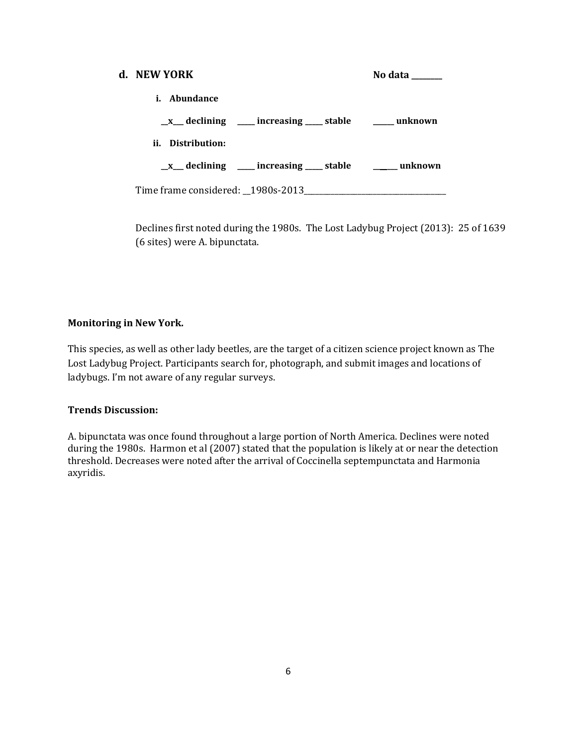| d. NEW YORK                                              | No data $\_\_$ |
|----------------------------------------------------------|----------------|
| <i>i.</i> Abundance                                      |                |
| _x__ declining ____ increasing ____ stable _____ unknown |                |
| ii. Distribution:                                        |                |
| _x__ declining ____ increasing ____ stable _____ unknown |                |
| Time frame considered: 1980s-2013                        |                |

Declines first noted during the 1980s. The Lost Ladybug Project (2013): 25 of 1639 (6 sites) were A. bipunctata.

## **Monitoring in New York.**

This species, as well as other lady beetles, are the target of a citizen science project known as The Lost Ladybug Project. Participants search for, photograph, and submit images and locations of ladybugs. I'm not aware of any regular surveys.

## **Trends Discussion:**

A. bipunctata was once found throughout a large portion of North America. Declines were noted during the 1980s. Harmon et al (2007) stated that the population is likely at or near the detection threshold. Decreases were noted after the arrival of Coccinella septempunctata and Harmonia axyridis.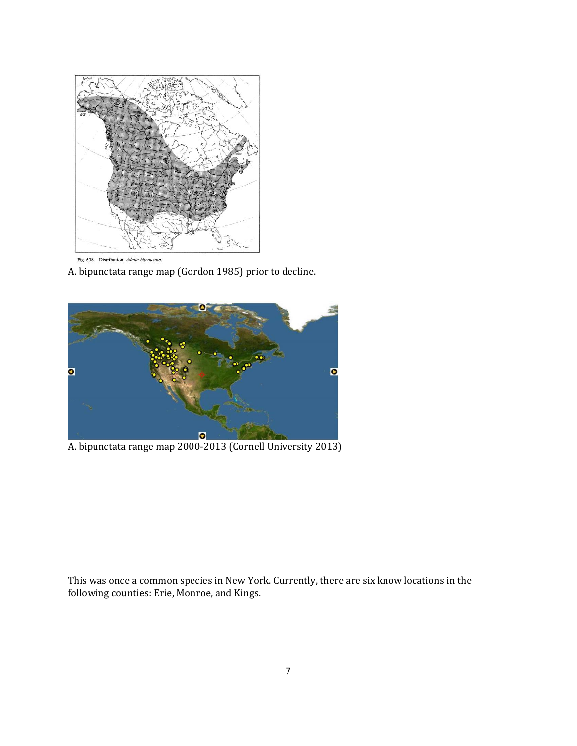

A. bipunctata range map (Gordon 1985) prior to decline.



A. bipunctata range map 2000-2013 (Cornell University 2013)

This was once a common species in New York. Currently, there are six know locations in the following counties: Erie, Monroe, and Kings.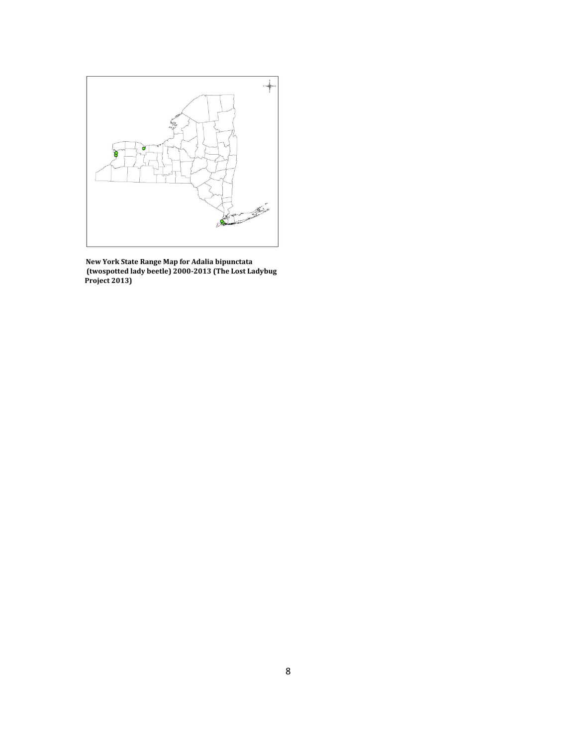

 **New York State Range Map for Adalia bipunctata (twospotted lady beetle) 2000-2013 (The Lost Ladybug Project 2013)**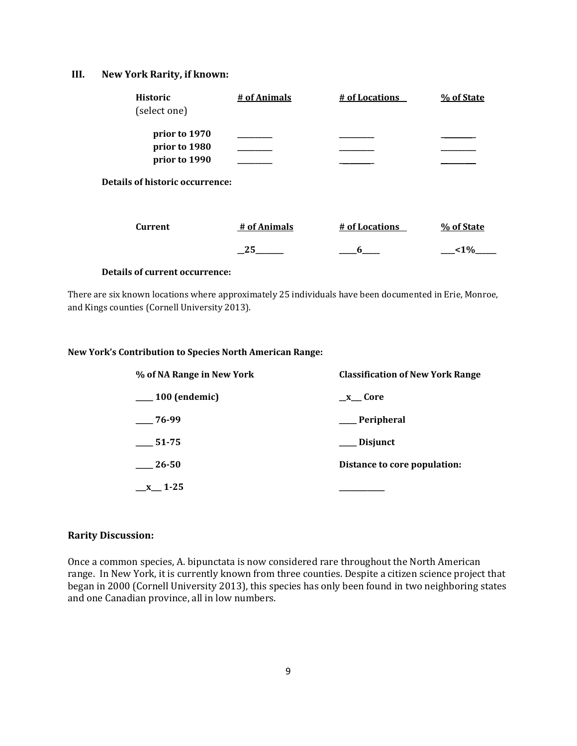#### **III. New York Rarity, if known:**

| <b>Historic</b> | # of Animals | # of Locations | % of State |
|-----------------|--------------|----------------|------------|
| (select one)    |              |                |            |
|                 |              |                |            |
| prior to 1970   |              |                |            |
| prior to 1980   |              |                |            |
| prior to 1990   |              |                |            |

**Details of historic occurrence:**

| Current | # of Animals | # of Locations | % of State |
|---------|--------------|----------------|------------|
|         |              |                | 1% >       |

#### **Details of current occurrence:**

There are six known locations where approximately 25 individuals have been documented in Erie, Monroe, and Kings counties (Cornell University 2013).

### **New York's Contribution to Species North American Range:**

| % of NA Range in New York | <b>Classification of New York Range</b> |  |
|---------------------------|-----------------------------------------|--|
| $\_\_100$ (endemic)       | $x$ Core                                |  |
| $-76-99$                  | __ Peripheral                           |  |
| 51-75                     | Disjunct                                |  |
| 26-50                     | Distance to core population:            |  |
| $x$ 1-25                  |                                         |  |

#### **Rarity Discussion:**

Once a common species, A. bipunctata is now considered rare throughout the North American range. In New York, it is currently known from three counties. Despite a citizen science project that began in 2000 (Cornell University 2013), this species has only been found in two neighboring states and one Canadian province, all in low numbers.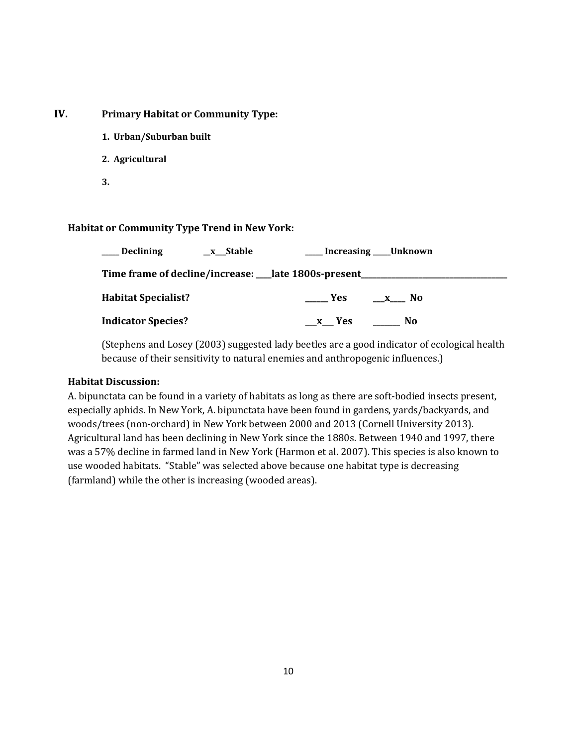## **IV. Primary Habitat or Community Type:**

- **1. Urban/Suburban built**
- **2. Agricultural**
- **3.**

## **Habitat or Community Type Trend in New York:**

| Declining                                                               | _x__Stable |                     | ____ Increasing ____ Unknown |
|-------------------------------------------------------------------------|------------|---------------------|------------------------------|
| Time frame of decline/increase: ___ late 1800s-present ________________ |            |                     |                              |
| <b>Habitat Specialist?</b>                                              |            | <b>Solution</b> Yes | $X$ No                       |
| <b>Indicator Species?</b>                                               |            | x Yes               | $\frac{1}{2}$ No             |

(Stephens and Losey (2003) suggested lady beetles are a good indicator of ecological health because of their sensitivity to natural enemies and anthropogenic influences.)

### **Habitat Discussion:**

A. bipunctata can be found in a variety of habitats as long as there are soft-bodied insects present, especially aphids. In New York, A. bipunctata have been found in gardens, yards/backyards, and woods/trees (non-orchard) in New York between 2000 and 2013 (Cornell University 2013). Agricultural land has been declining in New York since the 1880s. Between 1940 and 1997, there was a 57% decline in farmed land in New York (Harmon et al. 2007). This species is also known to use wooded habitats. "Stable" was selected above because one habitat type is decreasing (farmland) while the other is increasing (wooded areas).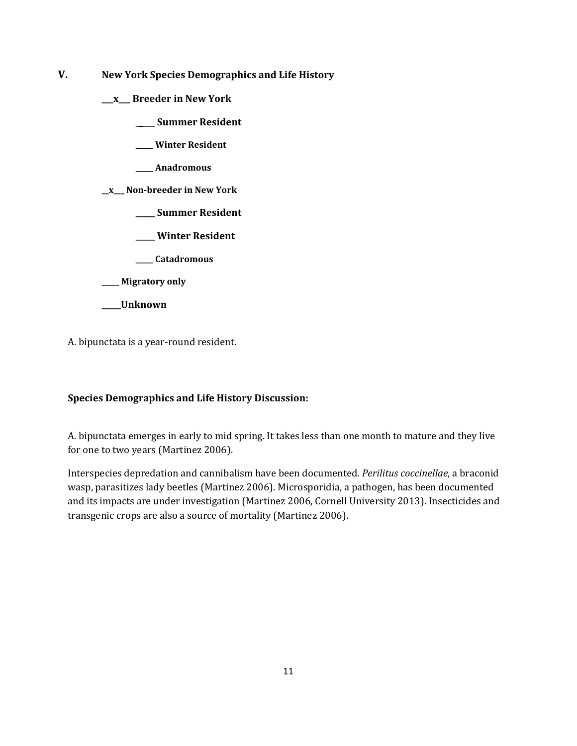- **V. New York Species Demographics and Life History**
	- **\_\_\_x\_\_\_ Breeder in New York**
		- **\_\_\_\_\_ Summer Resident**
		- **\_\_\_\_\_ Winter Resident**
		- **\_\_\_\_\_ Anadromous**

**\_\_x\_\_\_ Non-breeder in New York**

- **\_\_\_\_\_ Summer Resident**
- **\_\_\_\_\_ Winter Resident**
- **\_\_\_\_\_ Catadromous**

**\_\_\_\_\_ Migratory only**

**\_\_\_\_\_Unknown**

A. bipunctata is a year-round resident.

## **Species Demographics and Life History Discussion:**

A. bipunctata emerges in early to mid spring. It takes less than one month to mature and they live for one to two years (Martinez 2006).

Interspecies depredation and cannibalism have been documented. *Perilitus coccinellae*, a braconid wasp, parasitizes lady beetles (Martinez 2006). Microsporidia, a pathogen, has been documented and its impacts are under investigation (Martinez 2006, Cornell University 2013). Insecticides and transgenic crops are also a source of mortality (Martinez 2006).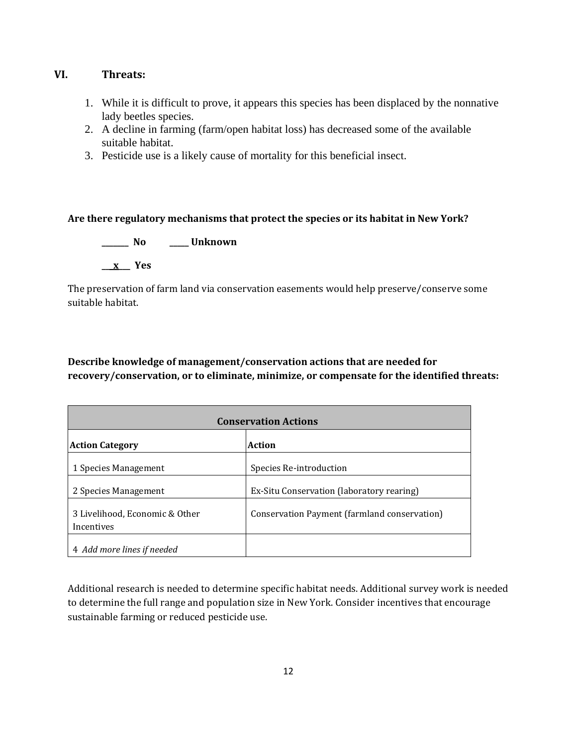# **VI. Threats:**

- 1. While it is difficult to prove, it appears this species has been displaced by the nonnative lady beetles species.
- 2. A decline in farming (farm/open habitat loss) has decreased some of the available suitable habitat.
- 3. Pesticide use is a likely cause of mortality for this beneficial insect.

## **Are there regulatory mechanisms that protect the species or its habitat in New York?**

**\_\_\_\_\_\_\_ No \_\_\_\_\_ Unknown \_\_\_x\_\_\_ Yes** 

The preservation of farm land via conservation easements would help preserve/conserve some suitable habitat.

# **Describe knowledge of management/conservation actions that are needed for recovery/conservation, or to eliminate, minimize, or compensate for the identified threats:**

| <b>Conservation Actions</b>                  |                                              |  |  |
|----------------------------------------------|----------------------------------------------|--|--|
| <b>Action Category</b>                       | <b>Action</b>                                |  |  |
| 1 Species Management                         | Species Re-introduction                      |  |  |
| 2 Species Management                         | Ex-Situ Conservation (laboratory rearing)    |  |  |
| 3 Livelihood, Economic & Other<br>Incentives | Conservation Payment (farmland conservation) |  |  |
| 4 Add more lines if needed                   |                                              |  |  |

Additional research is needed to determine specific habitat needs. Additional survey work is needed to determine the full range and population size in New York. Consider incentives that encourage sustainable farming or reduced pesticide use.